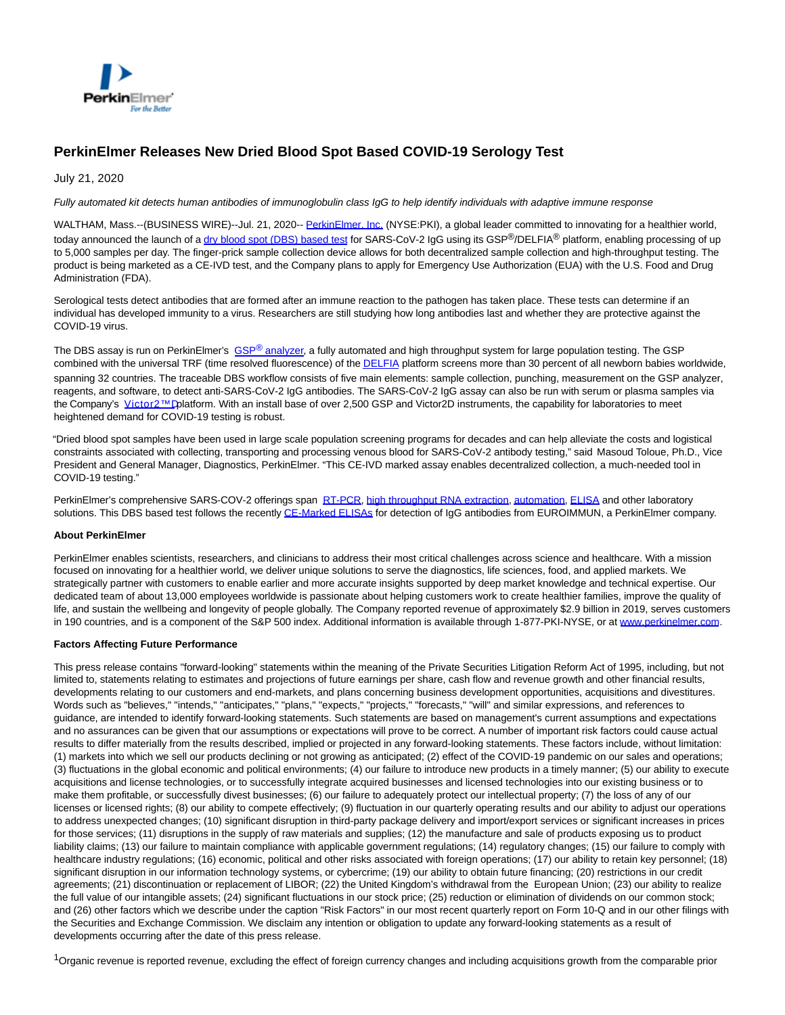

## **PerkinElmer Releases New Dried Blood Spot Based COVID-19 Serology Test**

July 21, 2020

Fully automated kit detects human antibodies of immunoglobulin class IgG to help identify individuals with adaptive immune response

WALTHAM, Mass.--(BUSINESS WIRE)--Jul. 21, 2020-- [PerkinElmer, Inc. \(](https://cts.businesswire.com/ct/CT?id=smartlink&url=http%3A%2F%2Fwww.perkinelmer.com%2F&esheet=52253132&newsitemid=20200721005223&lan=en-US&anchor=PerkinElmer%2C+Inc.&index=1&md5=b49a255af9210f951891f2ef97c1a8d7)NYSE:PKI), a global leader committed to innovating for a healthier world, today announced the launch of [a dry blood spot \(DBS\) based test f](https://cts.businesswire.com/ct/CT?id=smartlink&url=https%3A%2F%2Fperkinelmer-appliedgenomics.com%2Fhome%2Fsars-cov-2-testing-solutions%2Fperkinelmer-gsp-delfia-anti-sars-cov-2-igg-kit%2F&esheet=52253132&newsitemid=20200721005223&lan=en-US&anchor=dry+blood+spot+%28DBS%29+based+test&index=2&md5=efd2809c438d5ec762ce6c1f4e9d35ed)or SARS-CoV-2 IgG using its GSP®/DELFIA® platform, enabling processing of up to 5,000 samples per day. The finger-prick sample collection device allows for both decentralized sample collection and high-throughput testing. The product is being marketed as a CE-IVD test, and the Company plans to apply for Emergency Use Authorization (EUA) with the U.S. Food and Drug Administration (FDA).

Serological tests detect antibodies that are formed after an immune reaction to the pathogen has taken place. These tests can determine if an individual has developed immunity to a virus. Researchers are still studying how long antibodies last and whether they are protective against the COVID-19 virus.

The DBS assay is run on PerkinElmer's GSP<sup>®</sup> [analyzer,](https://cts.businesswire.com/ct/CT?id=smartlink&url=https%3A%2F%2Fwww.perkinelmer.com%2Fproduct%2Fgenetic-screening-processor-2021-2021-0010&esheet=52253132&newsitemid=20200721005223&lan=en-US&anchor=GSP%26%23174%3B+analyzer&index=3&md5=40b0e0f6f7bca4e9f089dd89f14fb755) a fully automated and high throughput system for large population testing. The GSP combined with the universal TRF (time resolved fluorescence) of the **DELFIA** platform screens more than 30 percent of all newborn babies worldwide, spanning 32 countries. The traceable DBS workflow consists of five main elements: sample collection, punching, measurement on the GSP analyzer, reagents, and software, to detect anti-SARS-CoV-2 IgG antibodies. The SARS-CoV-2 IgG assay can also be run with serum or plasma samples via the Company's [Victor2™D p](https://cts.businesswire.com/ct/CT?id=smartlink&url=https%3A%2F%2Fwww.perkinelmer.com%2Fproduct%2Fmultilabel-counter-diagnostic-stacker-m-1420-021&esheet=52253132&newsitemid=20200721005223&lan=en-US&anchor=Victor2%26%238482%3BD&index=5&md5=d03dfb45bd49b8ed1e8866320eff19b7)latform. With an install base of over 2,500 GSP and Victor2D instruments, the capability for laboratories to meet heightened demand for COVID-19 testing is robust.

"Dried blood spot samples have been used in large scale population screening programs for decades and can help alleviate the costs and logistical constraints associated with collecting, transporting and processing venous blood for SARS-CoV-2 antibody testing," said Masoud Toloue, Ph.D., Vice President and General Manager, Diagnostics, PerkinElmer. "This CE-IVD marked assay enables decentralized collection, a much-needed tool in COVID-19 testing."

PerkinElmer's comprehensive SARS-COV-2 offerings span [RT-PCR,](https://cts.businesswire.com/ct/CT?id=smartlink&url=https%3A%2F%2Fir.perkinelmer.com%2Fnews-releases%2Fnews-release-details%2Ffda-provides-emergency-use-authorization-perkinelmer-covid-19&esheet=52253132&newsitemid=20200721005223&lan=en-US&anchor=RT-PCR&index=6&md5=f423ade1b2475b0df7e4e7b83345e790) [high throughput RNA extraction,](https://cts.businesswire.com/ct/CT?id=smartlink&url=https%3A%2F%2Fchemagen.com%2FInstruments%2F100-chemagic-360-instrument%2F&esheet=52253132&newsitemid=20200721005223&lan=en-US&anchor=high+throughput+RNA+extraction&index=7&md5=a241424130e2594df4243f06eb5897e4) [automation,](https://cts.businesswire.com/ct/CT?id=smartlink&url=https%3A%2F%2Fperkinelmer-appliedgenomics.com%2Fhome%2Fproducts%2Fjanus-g3-workstations-for-sars-cov-2-testing%2F&esheet=52253132&newsitemid=20200721005223&lan=en-US&anchor=automation&index=8&md5=e293f2c1fc802a145de4b38dd7a8dafc) [ELISA a](https://cts.businesswire.com/ct/CT?id=smartlink&url=https%3A%2F%2Fwww.coronavirus-diagnostics.com%2Fantibody-detection-tests-for-covid-19.html&esheet=52253132&newsitemid=20200721005223&lan=en-US&anchor=ELISA&index=9&md5=484188172962d63b3ac01a909314b813)nd other laboratory solutions. This DBS based test follows the recently [CE-Marked ELISAs f](https://cts.businesswire.com/ct/CT?id=smartlink&url=https%3A%2F%2Fwww.coronavirus-diagnostics.com%2Fdocuments%2FIndications%2FInfections%2FCoronavirus%2FEI_2606_I_UK_A.pdf&esheet=52253132&newsitemid=20200721005223&lan=en-US&anchor=CE-Marked+ELISAs&index=10&md5=ab41c464f6400a9efed42e600385ac71)or detection of IgG antibodies from EUROIMMUN, a PerkinElmer company.

## **About PerkinElmer**

PerkinElmer enables scientists, researchers, and clinicians to address their most critical challenges across science and healthcare. With a mission focused on innovating for a healthier world, we deliver unique solutions to serve the diagnostics, life sciences, food, and applied markets. We strategically partner with customers to enable earlier and more accurate insights supported by deep market knowledge and technical expertise. Our dedicated team of about 13,000 employees worldwide is passionate about helping customers work to create healthier families, improve the quality of life, and sustain the wellbeing and longevity of people globally. The Company reported revenue of approximately \$2.9 billion in 2019, serves customers in 190 countries, and is a component of the S&P 500 index. Additional information is available through 1-877-PKI-NYSE, or at [www.perkinelmer.com.](https://cts.businesswire.com/ct/CT?id=smartlink&url=http%3A%2F%2Fwww.perkinelmer.com&esheet=52253132&newsitemid=20200721005223&lan=en-US&anchor=www.perkinelmer.com&index=11&md5=2562a71fad92db4a4cfee1cf8847e9c7)

## **Factors Affecting Future Performance**

This press release contains "forward-looking" statements within the meaning of the Private Securities Litigation Reform Act of 1995, including, but not limited to, statements relating to estimates and projections of future earnings per share, cash flow and revenue growth and other financial results, developments relating to our customers and end-markets, and plans concerning business development opportunities, acquisitions and divestitures. Words such as "believes," "intends," "anticipates," "plans," "expects," "projects," "forecasts," "will" and similar expressions, and references to guidance, are intended to identify forward-looking statements. Such statements are based on management's current assumptions and expectations and no assurances can be given that our assumptions or expectations will prove to be correct. A number of important risk factors could cause actual results to differ materially from the results described, implied or projected in any forward-looking statements. These factors include, without limitation: (1) markets into which we sell our products declining or not growing as anticipated; (2) effect of the COVID-19 pandemic on our sales and operations; (3) fluctuations in the global economic and political environments; (4) our failure to introduce new products in a timely manner; (5) our ability to execute acquisitions and license technologies, or to successfully integrate acquired businesses and licensed technologies into our existing business or to make them profitable, or successfully divest businesses; (6) our failure to adequately protect our intellectual property; (7) the loss of any of our licenses or licensed rights; (8) our ability to compete effectively; (9) fluctuation in our quarterly operating results and our ability to adjust our operations to address unexpected changes; (10) significant disruption in third-party package delivery and import/export services or significant increases in prices for those services; (11) disruptions in the supply of raw materials and supplies; (12) the manufacture and sale of products exposing us to product liability claims; (13) our failure to maintain compliance with applicable government regulations; (14) regulatory changes; (15) our failure to comply with healthcare industry regulations; (16) economic, political and other risks associated with foreign operations; (17) our ability to retain key personnel; (18) significant disruption in our information technology systems, or cybercrime; (19) our ability to obtain future financing; (20) restrictions in our credit agreements; (21) discontinuation or replacement of LIBOR; (22) the United Kingdom's withdrawal from the European Union; (23) our ability to realize the full value of our intangible assets; (24) significant fluctuations in our stock price; (25) reduction or elimination of dividends on our common stock; and (26) other factors which we describe under the caption "Risk Factors" in our most recent quarterly report on Form 10-Q and in our other filings with the Securities and Exchange Commission. We disclaim any intention or obligation to update any forward-looking statements as a result of developments occurring after the date of this press release.

 $1$ Organic revenue is reported revenue, excluding the effect of foreign currency changes and including acquisitions growth from the comparable prior